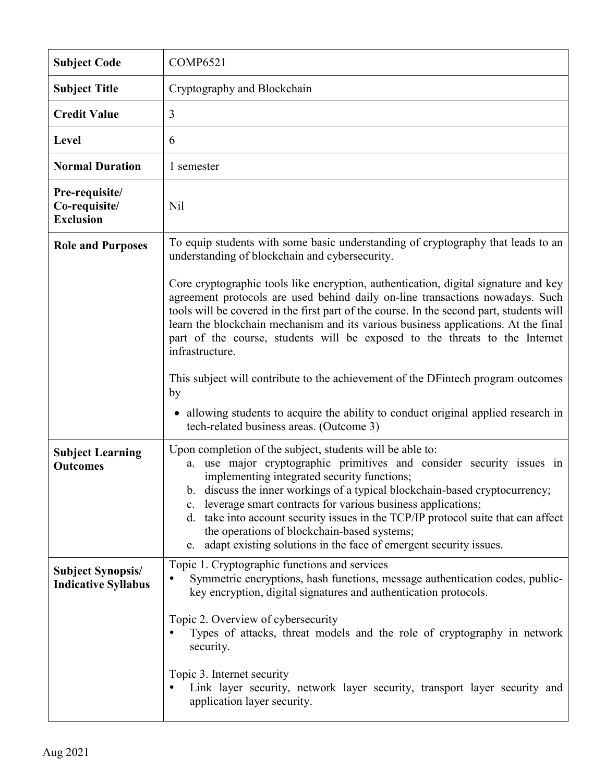| <b>Subject Code</b>                                    | <b>COMP6521</b>                                                                                                                                                                                                                                                                                                                                                                                                                                                                                                                                |
|--------------------------------------------------------|------------------------------------------------------------------------------------------------------------------------------------------------------------------------------------------------------------------------------------------------------------------------------------------------------------------------------------------------------------------------------------------------------------------------------------------------------------------------------------------------------------------------------------------------|
| <b>Subject Title</b>                                   | Cryptography and Blockchain                                                                                                                                                                                                                                                                                                                                                                                                                                                                                                                    |
| <b>Credit Value</b>                                    | $\overline{3}$                                                                                                                                                                                                                                                                                                                                                                                                                                                                                                                                 |
| <b>Level</b>                                           | 6                                                                                                                                                                                                                                                                                                                                                                                                                                                                                                                                              |
| <b>Normal Duration</b>                                 | 1 semester                                                                                                                                                                                                                                                                                                                                                                                                                                                                                                                                     |
| Pre-requisite/<br>Co-requisite/<br><b>Exclusion</b>    | N <sub>il</sub>                                                                                                                                                                                                                                                                                                                                                                                                                                                                                                                                |
| <b>Role and Purposes</b>                               | To equip students with some basic understanding of cryptography that leads to an<br>understanding of blockchain and cybersecurity.                                                                                                                                                                                                                                                                                                                                                                                                             |
|                                                        | Core cryptographic tools like encryption, authentication, digital signature and key<br>agreement protocols are used behind daily on-line transactions nowadays. Such<br>tools will be covered in the first part of the course. In the second part, students will<br>learn the blockchain mechanism and its various business applications. At the final<br>part of the course, students will be exposed to the threats to the Internet<br>infrastructure.                                                                                       |
|                                                        | This subject will contribute to the achievement of the DF intech program outcomes<br>by<br>• allowing students to acquire the ability to conduct original applied research in<br>tech-related business areas. (Outcome 3)                                                                                                                                                                                                                                                                                                                      |
| <b>Subject Learning</b><br><b>Outcomes</b>             | Upon completion of the subject, students will be able to:<br>a. use major cryptographic primitives and consider security issues in<br>implementing integrated security functions;<br>b. discuss the inner workings of a typical blockchain-based cryptocurrency;<br>c. leverage smart contracts for various business applications;<br>d. take into account security issues in the TCP/IP protocol suite that can affect<br>the operations of blockchain-based systems;<br>e. adapt existing solutions in the face of emergent security issues. |
| <b>Subject Synopsis/</b><br><b>Indicative Syllabus</b> | Topic 1. Cryptographic functions and services<br>Symmetric encryptions, hash functions, message authentication codes, public-<br>key encryption, digital signatures and authentication protocols.                                                                                                                                                                                                                                                                                                                                              |
|                                                        | Topic 2. Overview of cybersecurity<br>Types of attacks, threat models and the role of cryptography in network<br>security.                                                                                                                                                                                                                                                                                                                                                                                                                     |
|                                                        | Topic 3. Internet security<br>Link layer security, network layer security, transport layer security and<br>application layer security.                                                                                                                                                                                                                                                                                                                                                                                                         |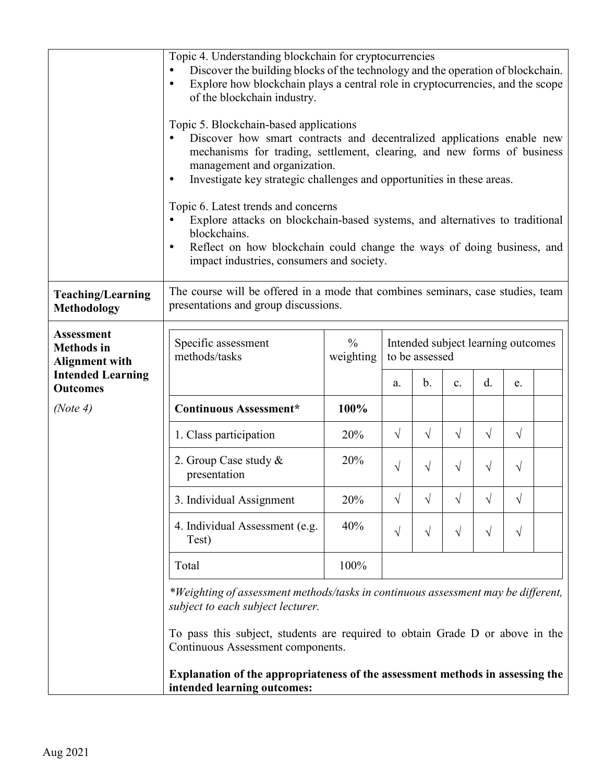|                                                                                             | Topic 4. Understanding blockchain for cryptocurrencies<br>Discover the building blocks of the technology and the operation of blockchain.<br>Explore how blockchain plays a central role in cryptocurrencies, and the scope<br>$\bullet$<br>of the blockchain industry.<br>Topic 5. Blockchain-based applications<br>Discover how smart contracts and decentralized applications enable new<br>$\bullet$<br>mechanisms for trading, settlement, clearing, and new forms of business<br>management and organization.<br>Investigate key strategic challenges and opportunities in these areas.<br>$\bullet$<br>Topic 6. Latest trends and concerns<br>Explore attacks on blockchain-based systems, and alternatives to traditional<br>blockchains.<br>Reflect on how blockchain could change the ways of doing business, and<br>$\bullet$<br>impact industries, consumers and society. |                            |                                                                                                                   |            |           |           |           |  |
|---------------------------------------------------------------------------------------------|---------------------------------------------------------------------------------------------------------------------------------------------------------------------------------------------------------------------------------------------------------------------------------------------------------------------------------------------------------------------------------------------------------------------------------------------------------------------------------------------------------------------------------------------------------------------------------------------------------------------------------------------------------------------------------------------------------------------------------------------------------------------------------------------------------------------------------------------------------------------------------------|----------------------------|-------------------------------------------------------------------------------------------------------------------|------------|-----------|-----------|-----------|--|
| <b>Teaching/Learning</b><br><b>Methodology</b>                                              | The course will be offered in a mode that combines seminars, case studies, team<br>presentations and group discussions.                                                                                                                                                                                                                                                                                                                                                                                                                                                                                                                                                                                                                                                                                                                                                               |                            |                                                                                                                   |            |           |           |           |  |
| <b>Assessment</b><br><b>Methods</b> in<br><b>Alignment with</b><br><b>Intended Learning</b> | Specific assessment<br>methods/tasks                                                                                                                                                                                                                                                                                                                                                                                                                                                                                                                                                                                                                                                                                                                                                                                                                                                  | $\frac{0}{0}$<br>weighting | Intended subject learning outcomes<br>to be assessed<br>$\mathbf{b}$ .<br>$\rm d$ .<br>$\mathbf{c}$ .<br>e.<br>a. |            |           |           |           |  |
| <b>Outcomes</b><br>(Note 4)                                                                 | <b>Continuous Assessment*</b>                                                                                                                                                                                                                                                                                                                                                                                                                                                                                                                                                                                                                                                                                                                                                                                                                                                         | 100%                       |                                                                                                                   |            |           |           |           |  |
|                                                                                             |                                                                                                                                                                                                                                                                                                                                                                                                                                                                                                                                                                                                                                                                                                                                                                                                                                                                                       |                            |                                                                                                                   |            |           |           |           |  |
|                                                                                             | 1. Class participation                                                                                                                                                                                                                                                                                                                                                                                                                                                                                                                                                                                                                                                                                                                                                                                                                                                                | 20%                        | $\sqrt{}$                                                                                                         | $\sqrt{ }$ | $\sqrt{}$ | V         | $\sqrt{}$ |  |
|                                                                                             | 2. Group Case study &<br>presentation                                                                                                                                                                                                                                                                                                                                                                                                                                                                                                                                                                                                                                                                                                                                                                                                                                                 | 20%                        | $\sqrt{}$                                                                                                         | $\sqrt{}$  | V         | V         | V         |  |
|                                                                                             | 3. Individual Assignment                                                                                                                                                                                                                                                                                                                                                                                                                                                                                                                                                                                                                                                                                                                                                                                                                                                              | 20%                        | V                                                                                                                 | V          | V         |           | $\sqrt{}$ |  |
|                                                                                             | 4. Individual Assessment (e.g.<br>Test)                                                                                                                                                                                                                                                                                                                                                                                                                                                                                                                                                                                                                                                                                                                                                                                                                                               | 40%                        | $\sqrt{}$                                                                                                         | $\sqrt{}$  | V         | $\sqrt{}$ | $\sqrt{}$ |  |
|                                                                                             | Total                                                                                                                                                                                                                                                                                                                                                                                                                                                                                                                                                                                                                                                                                                                                                                                                                                                                                 | 100%                       |                                                                                                                   |            |           |           |           |  |
|                                                                                             | *Weighting of assessment methods/tasks in continuous assessment may be different,<br>subject to each subject lecturer.<br>To pass this subject, students are required to obtain Grade D or above in the<br>Continuous Assessment components.                                                                                                                                                                                                                                                                                                                                                                                                                                                                                                                                                                                                                                          |                            |                                                                                                                   |            |           |           |           |  |
|                                                                                             | Explanation of the appropriateness of the assessment methods in assessing the<br>intended learning outcomes:                                                                                                                                                                                                                                                                                                                                                                                                                                                                                                                                                                                                                                                                                                                                                                          |                            |                                                                                                                   |            |           |           |           |  |